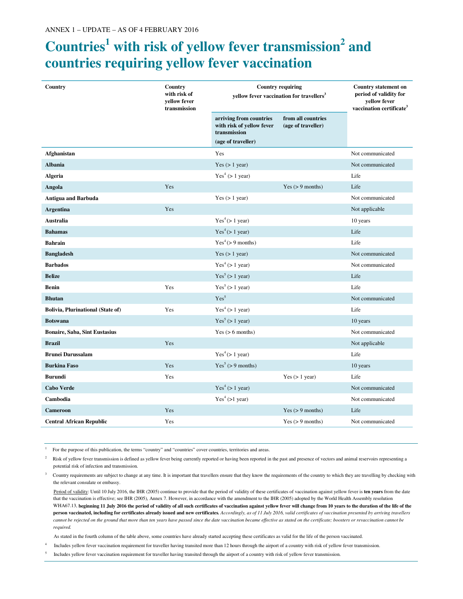## **Countries<sup>1</sup> with risk of yellow fever transmission<sup>2</sup> and countries requiring yellow fever vaccination**

| Country                                  | Country<br>with risk of<br>yellow fever<br>transmission | <b>Country requiring</b><br>yellow fever vaccination for travellers <sup>3</sup>           |                                          | <b>Country statement on</b><br>period of validity for<br>yellow fever<br>vaccination certificate <sup>3</sup> |
|------------------------------------------|---------------------------------------------------------|--------------------------------------------------------------------------------------------|------------------------------------------|---------------------------------------------------------------------------------------------------------------|
|                                          |                                                         | arriving from countries<br>with risk of yellow fever<br>transmission<br>(age of traveller) | from all countries<br>(age of traveller) |                                                                                                               |
| Afghanistan                              |                                                         | Yes                                                                                        |                                          | Not communicated                                                                                              |
| <b>Albania</b>                           |                                                         | Yes $(> 1$ year)                                                                           |                                          | Not communicated                                                                                              |
| <b>Algeria</b>                           |                                                         | Yes <sup>4</sup> (> 1 year)                                                                |                                          | Life                                                                                                          |
| Angola                                   | Yes                                                     |                                                                                            | Yes $(> 9$ months)                       | Life                                                                                                          |
| <b>Antigua and Barbuda</b>               |                                                         | Yes $(> 1$ year)                                                                           |                                          | Not communicated                                                                                              |
| <b>Argentina</b>                         | Yes                                                     |                                                                                            |                                          | Not applicable                                                                                                |
| Australia                                |                                                         | Yes <sup>4</sup> (>1 year)                                                                 |                                          | 10 years                                                                                                      |
| <b>Bahamas</b>                           |                                                         | Yes <sup>4</sup> (>1 year)                                                                 |                                          | Life                                                                                                          |
| <b>Bahrain</b>                           |                                                         | Yes <sup>4</sup> (>9 months)                                                               |                                          | Life                                                                                                          |
| <b>Bangladesh</b>                        |                                                         | Yes $(> 1$ year)                                                                           |                                          | Not communicated                                                                                              |
| <b>Barbados</b>                          |                                                         | Yes <sup>4</sup> (> 1 year)                                                                |                                          | Not communicated                                                                                              |
| <b>Belize</b>                            |                                                         | Yes <sup>5</sup> (> 1 year)                                                                |                                          | Life                                                                                                          |
| <b>Benin</b>                             | Yes                                                     | Yes <sup>5</sup> (> 1 year)                                                                |                                          | Life                                                                                                          |
| <b>Bhutan</b>                            |                                                         | Yes <sup>5</sup>                                                                           |                                          | Not communicated                                                                                              |
| <b>Bolivia, Plurinational (State of)</b> | Yes                                                     | Yes <sup>4</sup> (> 1 year)                                                                |                                          | Life                                                                                                          |
| <b>Botswana</b>                          |                                                         | Yes <sup>5</sup> (> 1 year)                                                                |                                          | 10 years                                                                                                      |
| <b>Bonaire, Saba, Sint Eustasius</b>     |                                                         | Yes $(> 6$ months)                                                                         |                                          | Not communicated                                                                                              |
| <b>Brazil</b>                            | Yes                                                     |                                                                                            |                                          | Not applicable                                                                                                |
| <b>Brunei Darussalam</b>                 |                                                         | Yes <sup>4</sup> (>1 year)                                                                 |                                          | Life                                                                                                          |
| <b>Burkina Faso</b>                      | Yes                                                     | Yes <sup>5</sup> (> 9 months)                                                              |                                          | 10 years                                                                                                      |
| <b>Burundi</b>                           | Yes                                                     |                                                                                            | Yes $(> 1$ year)                         | Life                                                                                                          |
| <b>Cabo Verde</b>                        |                                                         | Yes <sup>4</sup> (> 1 year)                                                                |                                          | Not communicated                                                                                              |
| Cambodia                                 |                                                         | Yes <sup>4</sup> (>1 year)                                                                 |                                          | Not communicated                                                                                              |
| <b>Cameroon</b>                          | Yes                                                     |                                                                                            | Yes $(> 9$ months)                       | Life                                                                                                          |
| <b>Central African Republic</b>          | Yes                                                     |                                                                                            | Yes $(> 9$ months)                       | Not communicated                                                                                              |

<sup>1</sup>For the purpose of this publication, the terms "country" and "countries" cover countries, territories and areas.

4

 $2^2$  Risk of yellow fever transmission is defined as yellow fever being currently reported or having been reported in the past and presence of vectors and animal reservoirs representing a potential risk of infection and transmission.

3 Country requirements are subject to change at any time. It is important that travellers ensure that they know the requirements of the country to which they are travelling by checking with the relevant consulate or embassy.

 Period of validity: Until 10 July 2016, the IHR (2005) continue to provide that the period of validity of these certificates of vaccination against yellow fever is **ten years** from the date that the vaccination is effective; see IHR (2005), Annex 7. However, in accordance with the amendment to the IHR (2005) adopted by the World Health Assembly resolution WHA67.13, beginning 11 July 2016 the period of validity of all such certificates of vaccination against yellow fever will change from 10 years to the duration of the life of the **person vaccinated, including for certificates already issued and new certificates***. Accordingly, as of 11 July 2016, valid certificates of vaccination presented by arriving travellers cannot be rejected on the ground that more than ten years have passed since the date vaccination became effective as stated on the certificate; boosters or revaccination cannot be required.*

As stated in the fourth column of the table above, some countries have already started accepting these certificates as valid for the life of the person vaccinated.

Includes yellow fever vaccination requirement for traveller having transited more than 12 hours through the airport of a country with risk of yellow fever transmission.

<sup>5</sup>Includes yellow fever vaccination requirement for traveller having transited through the airport of a country with risk of yellow fever transmission.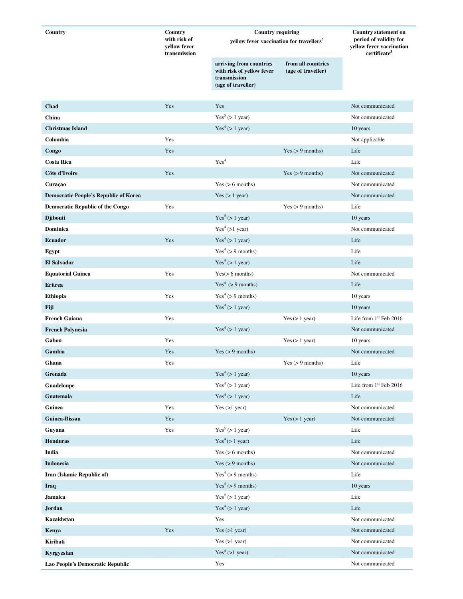| Country                                      | Country                                      | <b>Country requiring</b>                                                                   |                                          | <b>Country statement on</b><br>period of validity for<br>yellow fever vaccination<br>certificate <sup>3</sup> |
|----------------------------------------------|----------------------------------------------|--------------------------------------------------------------------------------------------|------------------------------------------|---------------------------------------------------------------------------------------------------------------|
|                                              | with risk of<br>yellow fever<br>transmission | yellow fever vaccination for travellers <sup>3</sup>                                       |                                          |                                                                                                               |
|                                              |                                              | arriving from countries<br>with risk of yellow fever<br>transmission<br>(age of traveller) | from all countries<br>(age of traveller) |                                                                                                               |
| Chad                                         | Yes                                          | Yes                                                                                        |                                          | Not communicated                                                                                              |
| China                                        |                                              | Yes <sup>5</sup> (> 1 year)                                                                |                                          | Not communicated                                                                                              |
| <b>Christmas Island</b>                      |                                              | Yes <sup>4</sup> (> 1 year)                                                                |                                          | 10 years                                                                                                      |
| Colombia                                     | Yes                                          |                                                                                            |                                          | Not applicable                                                                                                |
| Congo                                        | Yes                                          |                                                                                            | Yes $(> 9$ months)                       | Life                                                                                                          |
| <b>Costa Rica</b>                            |                                              | Yes <sup>4</sup>                                                                           |                                          | Life                                                                                                          |
| Côte d'Ivoire                                | Yes                                          |                                                                                            | Yes $(> 9$ months)                       | Not communicated                                                                                              |
| Curaçao                                      |                                              | Yes $(> 6$ months)                                                                         |                                          | Not communicated                                                                                              |
| <b>Democratic People's Republic of Korea</b> |                                              | Yes (> 1 year)                                                                             |                                          | Not communicated                                                                                              |
| <b>Democratic Republic of the Congo</b>      | Yes                                          |                                                                                            | Yes $(> 9$ months)                       | Life                                                                                                          |
| <b>Djibouti</b>                              |                                              | Yes <sup>5</sup> (> 1 year)                                                                |                                          | 10 years                                                                                                      |
| Dominica                                     |                                              | Yes <sup>4</sup> (>1 year)                                                                 |                                          | Not communicated                                                                                              |
| <b>Ecuador</b>                               | Yes                                          | Yes <sup>4</sup> (> 1 year)                                                                |                                          | Life                                                                                                          |
| Egypt                                        |                                              | Yes <sup>4</sup> (> 9 months)                                                              |                                          | Life                                                                                                          |
| <b>El Salvador</b>                           |                                              | Yes <sup>4</sup> (> 1 year)                                                                |                                          | Life                                                                                                          |
| <b>Equatorial Guinea</b>                     | Yes                                          | Yes( > 6 months)                                                                           |                                          | Not communicated                                                                                              |
| <b>Eritrea</b>                               |                                              | Yes <sup>4</sup> ( $> 9$ months)                                                           |                                          | Life                                                                                                          |
| <b>Ethiopia</b>                              | Yes                                          | Yes <sup>4</sup> (> 9 months)                                                              |                                          | 10 years                                                                                                      |
| Fiji                                         |                                              | Yes <sup>4</sup> (> 1 year)                                                                |                                          | 10 years                                                                                                      |
| <b>French Guiana</b>                         | Yes                                          |                                                                                            | Yes (> 1 year)                           | Life from $1st$ Feb 2016                                                                                      |
| <b>French Polynesia</b>                      |                                              | Yes <sup>4</sup> (> 1 year)                                                                |                                          | Not communicated                                                                                              |
| Gabon                                        | Yes                                          |                                                                                            | Yes (> 1 year)                           | 10 years                                                                                                      |
| Gambia                                       | Yes                                          | Yes $(> 9$ months)                                                                         |                                          | Not communicated                                                                                              |
| Ghana                                        | Yes                                          |                                                                                            | Yes $(> 9$ months)                       | Life                                                                                                          |
| Grenada                                      |                                              | Yes <sup>4</sup> (> 1 year)                                                                |                                          | 10 years                                                                                                      |
| Guadeloupe                                   |                                              | Yes <sup>4</sup> (> 1 year)                                                                |                                          | Life from 1st Feb 2016                                                                                        |
| Guatemala                                    |                                              | Yes <sup>4</sup> (> 1 year)                                                                |                                          | Life                                                                                                          |
| Guinea                                       | Yes                                          | Yes $(>1$ year)                                                                            |                                          | Not communicated                                                                                              |
| Guinea-Bissau                                | Yes                                          |                                                                                            | Yes (> 1 year)                           | Not communicated                                                                                              |
| Guyana                                       | Yes                                          | Yes <sup>5</sup> (> 1 year)                                                                |                                          | Life                                                                                                          |
| <b>Honduras</b>                              |                                              | Yes <sup>4</sup> (>1 year)                                                                 |                                          | Life                                                                                                          |
| India                                        |                                              | Yes $(> 6$ months)                                                                         |                                          | Not communicated                                                                                              |
| Indonesia                                    |                                              | Yes $(> 9$ months)                                                                         |                                          | Not communicated                                                                                              |
| Iran (Islamic Republic of)                   |                                              | Yes <sup>4</sup> (> 9 months)                                                              |                                          | Life                                                                                                          |
| Iraq                                         |                                              | Yes <sup>4</sup> (> 9 months)                                                              |                                          | 10 years                                                                                                      |
| <b>Jamaica</b>                               |                                              | Yes <sup>5</sup> (> 1 year)                                                                |                                          | Life                                                                                                          |
| Jordan                                       |                                              | Yes <sup>4</sup> (> 1 year)                                                                |                                          | Life                                                                                                          |
| Kazakhstan                                   |                                              | Yes                                                                                        |                                          | Not communicated                                                                                              |
| Kenya                                        | Yes                                          | Yes $(>1$ year)                                                                            |                                          | Not communicated                                                                                              |
| Kiribati                                     |                                              | Yes $(>1$ year)                                                                            |                                          | Not communicated                                                                                              |
| Kyrgyzstan                                   |                                              | Yes <sup>4</sup> (>1 year)                                                                 |                                          | Not communicated                                                                                              |
| Lao People's Democratic Republic             |                                              | Yes                                                                                        |                                          | Not communicated                                                                                              |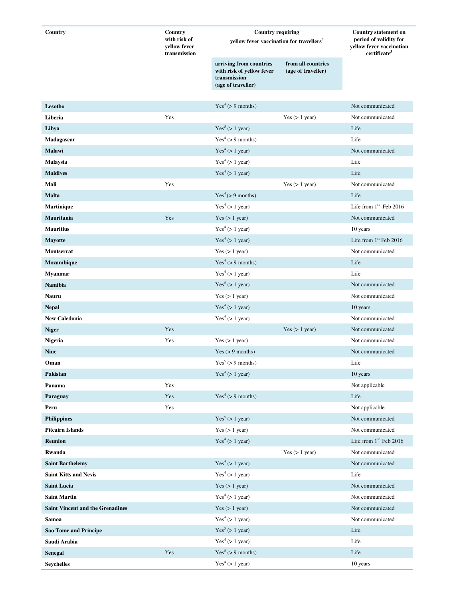| Country                                      | Country                                      | <b>Country requiring</b>                                                                   |                                          | <b>Country statement on</b><br>period of validity for<br>yellow fever vaccination<br>certificate <sup>3</sup> |
|----------------------------------------------|----------------------------------------------|--------------------------------------------------------------------------------------------|------------------------------------------|---------------------------------------------------------------------------------------------------------------|
|                                              | with risk of<br>yellow fever<br>transmission | yellow fever vaccination for travellers <sup>3</sup>                                       |                                          |                                                                                                               |
|                                              |                                              | arriving from countries<br>with risk of yellow fever<br>transmission<br>(age of traveller) | from all countries<br>(age of traveller) |                                                                                                               |
| Lesotho                                      |                                              | Yes <sup>4</sup> (> 9 months)                                                              |                                          | Not communicated                                                                                              |
| Liberia                                      | Yes                                          |                                                                                            | Yes $(> 1$ year)                         | Not communicated                                                                                              |
| Libya                                        |                                              | Yes <sup>5</sup> (> 1 year)                                                                |                                          | Life                                                                                                          |
| Madagascar                                   |                                              | Yes <sup>4</sup> (> 9 months)                                                              |                                          | Life                                                                                                          |
| Malawi                                       |                                              | Yes <sup>4</sup> (> 1 year)                                                                |                                          | Not communicated                                                                                              |
| Malaysia                                     |                                              | Yes <sup>4</sup> (> 1 year)                                                                |                                          | Life                                                                                                          |
| <b>Maldives</b>                              |                                              | Yes <sup>4</sup> (> 1 year)                                                                |                                          | Life                                                                                                          |
| Mali                                         | Yes                                          |                                                                                            | Yes $(> 1$ year)                         | Not communicated                                                                                              |
| <b>Malta</b>                                 |                                              | Yes <sup>4</sup> (> > 9 months)                                                            |                                          | Life                                                                                                          |
| Martinique                                   |                                              | Yes <sup>4</sup> (> 1 year)                                                                |                                          | Life from $1st$ Feb 2016                                                                                      |
| Mauritania                                   | Yes                                          | Yes $(> 1$ year)                                                                           |                                          | Not communicated                                                                                              |
| <b>Mauritius</b>                             |                                              | Yes <sup>4</sup> (> 1 year)                                                                |                                          | 10 years                                                                                                      |
| <b>Mayotte</b>                               |                                              | Yes <sup>4</sup> (> 1 year)                                                                |                                          | Life from $1st$ Feb 2016                                                                                      |
| Montserrat                                   |                                              | Yes $(> 1$ year)                                                                           |                                          | Not communicated                                                                                              |
| Mozambique                                   |                                              | Yes <sup>4</sup> (> 9 months)                                                              |                                          | Life                                                                                                          |
| <b>Myanmar</b>                               |                                              | Yes <sup>4</sup> (> 1 year)                                                                |                                          | Life                                                                                                          |
| <b>Namibia</b>                               |                                              | Yes <sup>5</sup> (> 1 year)                                                                |                                          | Not communicated                                                                                              |
| <b>Nauru</b>                                 |                                              | Yes $(> 1$ year)                                                                           |                                          | Not communicated                                                                                              |
| <b>Nepal</b>                                 |                                              | Yes <sup>4</sup> (> 1 year)                                                                |                                          | 10 years                                                                                                      |
| <b>New Caledonia</b>                         |                                              | Yes <sup>4</sup> (> 1 year)                                                                |                                          | Not communicated                                                                                              |
| <b>Niger</b>                                 | Yes                                          |                                                                                            | Yes $(> 1$ year)                         | Not communicated                                                                                              |
| Nigeria                                      | Yes                                          | Yes $(> 1$ year)                                                                           |                                          | Not communicated                                                                                              |
| <b>Niue</b>                                  |                                              | Yes $(> 9$ months)                                                                         |                                          | Not communicated                                                                                              |
| Oman                                         |                                              | Yes <sup>5</sup> (> 9 months)                                                              |                                          | Life                                                                                                          |
| Pakistan                                     |                                              | Yes <sup>4</sup> (> 1 year)                                                                |                                          | 10 years                                                                                                      |
| Panama                                       | Yes                                          |                                                                                            |                                          | Not applicable                                                                                                |
| Paraguay                                     | Yes                                          | Yes <sup>4</sup> (> 9 months)                                                              |                                          | Life                                                                                                          |
| Peru                                         | Yes                                          |                                                                                            |                                          | Not applicable                                                                                                |
| <b>Philippines</b>                           |                                              | Yes <sup>5</sup> (> 1 year)                                                                |                                          | Not communicated                                                                                              |
| <b>Pitcairn Islands</b>                      |                                              | Yes $(> 1$ year)                                                                           |                                          | Not communicated                                                                                              |
| <b>Reunion</b>                               |                                              | Yes <sup>4</sup> (> 1 year)                                                                |                                          | Life from $1st$ Feb 2016                                                                                      |
| Rwanda                                       |                                              |                                                                                            | Yes $(> 1$ year)                         | Not communicated                                                                                              |
| <b>Saint Barthelemy</b>                      |                                              | Yes <sup>4</sup> (> 1 year)                                                                |                                          | Not communicated                                                                                              |
| <b>Saint Kitts and Nevis</b>                 |                                              | Yes <sup>4</sup> (> 1 year)                                                                |                                          | Life                                                                                                          |
| <b>Saint Lucia</b>                           |                                              | Yes $(> 1$ year)                                                                           |                                          | Not communicated                                                                                              |
| <b>Saint Martin</b>                          |                                              | Yes <sup>4</sup> (> 1 year)                                                                |                                          | Not communicated                                                                                              |
| <b>Saint Vincent and the Grenadines</b>      |                                              | Yes (> 1 year)                                                                             |                                          | Not communicated                                                                                              |
| Samoa                                        |                                              | Yes <sup>4</sup> (> 1 year)                                                                |                                          | Not communicated                                                                                              |
|                                              |                                              | Yes <sup>5</sup> (> 1 year)                                                                |                                          | Life                                                                                                          |
| <b>Sao Tome and Principe</b><br>Saudi Arabia |                                              | Yes <sup>4</sup> (> 1 year)                                                                |                                          |                                                                                                               |
|                                              |                                              | Yes <sup>5</sup> (> 9 months)                                                              |                                          | Life                                                                                                          |
| Senegal                                      | Yes                                          |                                                                                            |                                          | Life                                                                                                          |
| <b>Seychelles</b>                            |                                              | Yes <sup>4</sup> (> 1 year)                                                                |                                          | 10 years                                                                                                      |